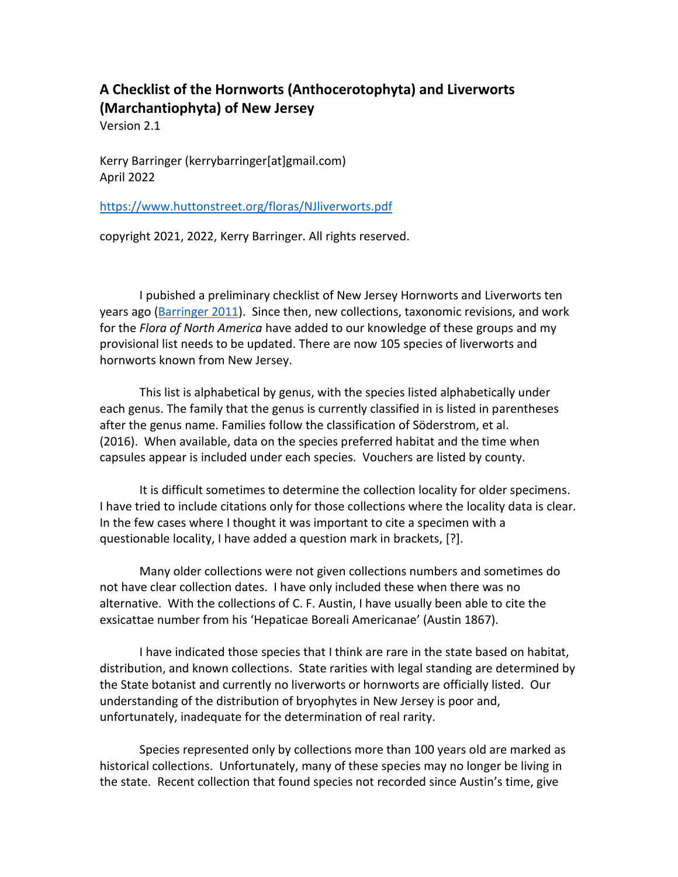# **A Checklist of the Hornworts (Anthocerotophyta) and Liverworts (Marchantiophyta) of New Jersey**

Version 2.1

Kerry Barringer (kerrybarringer[at]gmail.com) April 2022

<https://www.huttonstreet.org/floras/NJliverworts.pdf>

copyright 2021, 2022, Kerry Barringer. All rights reserved.

I pubished a preliminary checklist of New Jersey Hornworts and Liverworts ten years ago [\(Barringer](http://www.huttonstreet.org/floras/BarringerLiverwort.pdf) 2011). Since then, new collections, taxonomic revisions, and work for the *Flora of North America* have added to our knowledge of these groups and my provisional list needs to be updated. There are now 105 species of liverworts and hornworts known from New Jersey.

This list is alphabetical by genus, with the species listed alphabetically under each genus. The family that the genus is currently classified in is listed in parentheses after the genus name. Families follow the classification of Söderstrom, et al. (2016). When available, data on the species preferred habitat and the time when capsules appear is included under each species. Vouchers are listed by county.

It is difficult sometimes to determine the collection locality for older specimens. I have tried to include citations only for those collections where the locality data is clear. In the few cases where I thought it was important to cite a specimen with a questionable locality, I have added a question mark in brackets, [?].

Many older collections were not given collections numbers and sometimes do not have clear collection dates. I have only included these when there was no alternative. With the collections of C. F. Austin, I have usually been able to cite the exsicattae number from his 'Hepaticae Boreali Americanae' (Austin 1867).

I have indicated those species that I think are rare in the state based on habitat, distribution, and known collections. State rarities with legal standing are determined by the State botanist and currently no liverworts or hornworts are officially listed. Our understanding of the distribution of bryophytes in New Jersey is poor and, unfortunately, inadequate for the determination of real rarity.

Species represented only by collections more than 100 years old are marked as historical collections. Unfortunately, many of these species may no longer be living in the state. Recent collection that found species not recorded since Austin's time, give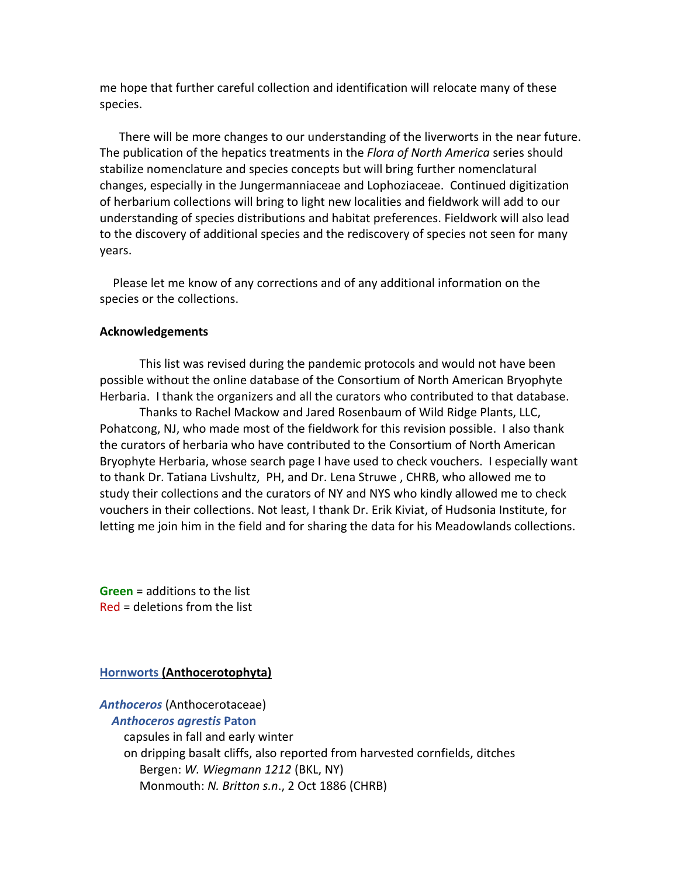me hope that further careful collection and identification will relocate many of these species.

 There will be more changes to our understanding of the liverworts in the near future. The publication of the hepatics treatments in the *Flora of North America* series should stabilize nomenclature and species concepts but will bring further nomenclatural changes, especially in the Jungermanniaceae and Lophoziaceae. Continued digitization of herbarium collections will bring to light new localities and fieldwork will add to our understanding of species distributions and habitat preferences. Fieldwork will also lead to the discovery of additional species and the rediscovery of species not seen for many years.

Please let me know of any corrections and of any additional information on the species or the collections.

#### **Acknowledgements**

This list was revised during the pandemic protocols and would not have been possible without the online database of the Consortium of North American Bryophyte Herbaria. I thank the organizers and all the curators who contributed to that database.

Thanks to Rachel Mackow and Jared Rosenbaum of Wild Ridge Plants, LLC, Pohatcong, NJ, who made most of the fieldwork for this revision possible. I also thank the curators of herbaria who have contributed to the Consortium of North American Bryophyte Herbaria, whose search page I have used to check vouchers. I especially want to thank Dr. Tatiana Livshultz, PH, and Dr. Lena Struwe , CHRB, who allowed me to study their collections and the curators of NY and NYS who kindly allowed me to check vouchers in their collections. Not least, I thank Dr. Erik Kiviat, of Hudsonia Institute, for letting me join him in the field and for sharing the data for his Meadowlands collections.

**Green** = additions to the list Red = deletions from the list

#### **Hornworts (Anthocerotophyta)**

# *Anthoceros* (Anthocerotaceae)

*Anthoceros agrestis* **Paton** capsules in fall and early winter on dripping basalt cliffs, also reported from harvested cornfields, ditches Bergen: *W. Wiegmann 1212* (BKL, NY) Monmouth: *N. Britton s.n*., 2 Oct 1886 (CHRB)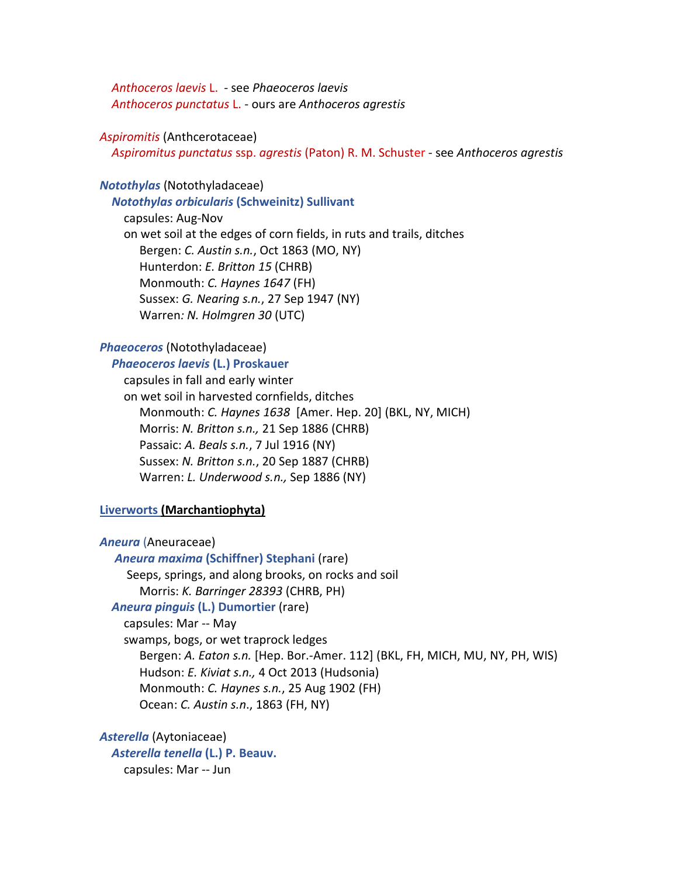*Anthoceros laevis* L. - see *Phaeoceros laevis Anthoceros punctatus* L. - ours are *Anthoceros agrestis*

#### *Aspiromitis* (Anthcerotaceae)

*Aspiromitus punctatus* ssp. *agrestis* (Paton) R. M. Schuster - see *Anthoceros agrestis*

#### *Notothylas* (Notothyladaceae)

*Notothylas orbicularis* **(Schweinitz) Sullivant**

capsules: Aug-Nov on wet soil at the edges of corn fields, in ruts and trails, ditches Bergen: *C. Austin s.n.*, Oct 1863 (MO, NY) Hunterdon: *E. Britton 15* (CHRB) Monmouth: *C. Haynes 1647* (FH) Sussex: *G. Nearing s.n.*, 27 Sep 1947 (NY) Warren*: N. Holmgren 30* (UTC)

#### *Phaeoceros* (Notothyladaceae)

#### *Phaeoceros laevis* **(L.) Proskauer**

capsules in fall and early winter on wet soil in harvested cornfields, ditches Monmouth: *C. Haynes 1638* [Amer. Hep. 20] (BKL, NY, MICH) Morris: *N. Britton s.n.,* 21 Sep 1886 (CHRB) Passaic: *A. Beals s.n.*, 7 Jul 1916 (NY) Sussex: *N. Britton s.n.*, 20 Sep 1887 (CHRB) Warren: *L. Underwood s.n.,* Sep 1886 (NY)

#### **Liverworts (Marchantiophyta)**

*Aneura* (Aneuraceae)

 *Aneura maxima* **(Schiffner) Stephani** (rare) Seeps, springs, and along brooks, on rocks and soil Morris: *K. Barringer 28393* (CHRB, PH) *Aneura pinguis* **(L.) Dumortier** (rare) capsules: Mar -- May

swamps, bogs, or wet traprock ledges Bergen: *A. Eaton s.n.* [Hep. Bor.-Amer. 112] (BKL, FH, MICH, MU, NY, PH, WIS) Hudson: *E. Kiviat s.n.,* 4 Oct 2013 (Hudsonia) Monmouth: *C. Haynes s.n.*, 25 Aug 1902 (FH) Ocean: *C. Austin s.n*., 1863 (FH, NY)

*Asterella* (Aytoniaceae) *Asterella tenella* **(L.) P. Beauv.** capsules: Mar -- Jun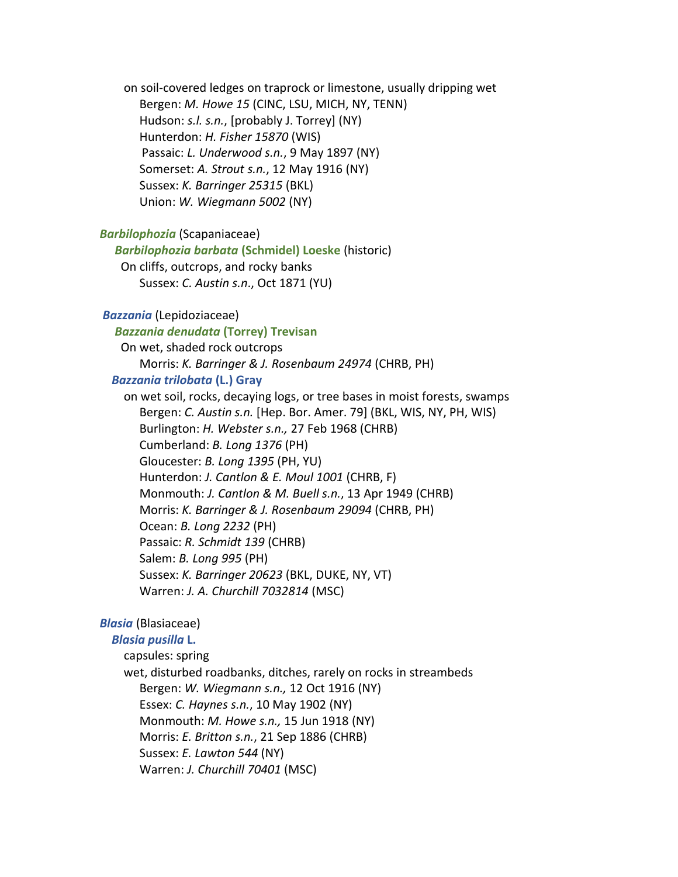on soil-covered ledges on traprock or limestone, usually dripping wet Bergen: *M. Howe 15* (CINC, LSU, MICH, NY, TENN) Hudson: *s.l. s.n.*, [probably J. Torrey] (NY) Hunterdon: *H. Fisher 15870* (WIS) Passaic: *L. Underwood s.n.*, 9 May 1897 (NY) Somerset: *A. Strout s.n.*, 12 May 1916 (NY) Sussex: *K. Barringer 25315* (BKL) Union: *W. Wiegmann 5002* (NY)

#### *Barbilophozia* (Scapaniaceae)

 *Barbilophozia barbata* **(Schmidel) Loeske** (historic) On cliffs, outcrops, and rocky banks Sussex: *C. Austin s.n*., Oct 1871 (YU)

#### *Bazzania* (Lepidoziaceae)

## *Bazzania denudata* **(Torrey) Trevisan**

 On wet, shaded rock outcrops Morris: *K. Barringer & J. Rosenbaum 24974* (CHRB, PH)

#### *Bazzania trilobata* **(L.) Gray**

on wet soil, rocks, decaying logs, or tree bases in moist forests, swamps Bergen: *C. Austin s.n.* [Hep. Bor. Amer. 79] (BKL, WIS, NY, PH, WIS) Burlington: *H. Webster s.n.,* 27 Feb 1968 (CHRB) Cumberland: *B. Long 1376* (PH) Gloucester: *B. Long 1395* (PH, YU) Hunterdon: *J. Cantlon & E. Moul 1001* (CHRB, F) Monmouth: *J. Cantlon & M. Buell s.n.*, 13 Apr 1949 (CHRB) Morris: *K. Barringer & J. Rosenbaum 29094* (CHRB, PH) Ocean: *B. Long 2232* (PH) Passaic: *R. Schmidt 139* (CHRB) Salem: *B. Long 995* (PH) Sussex: *K. Barringer 20623* (BKL, DUKE, NY, VT) Warren: *J. A. Churchill 7032814* (MSC)

# *Blasia* (Blasiaceae)

#### *Blasia pusilla* **L.**

capsules: spring

wet, disturbed roadbanks, ditches, rarely on rocks in streambeds Bergen: *W. Wiegmann s.n.,* 12 Oct 1916 (NY) Essex: *C. Haynes s.n.*, 10 May 1902 (NY) Monmouth: *M. Howe s.n.,* 15 Jun 1918 (NY) Morris: *E. Britton s.n.*, 21 Sep 1886 (CHRB) Sussex: *E. Lawton 544* (NY) Warren: *J. Churchill 70401* (MSC)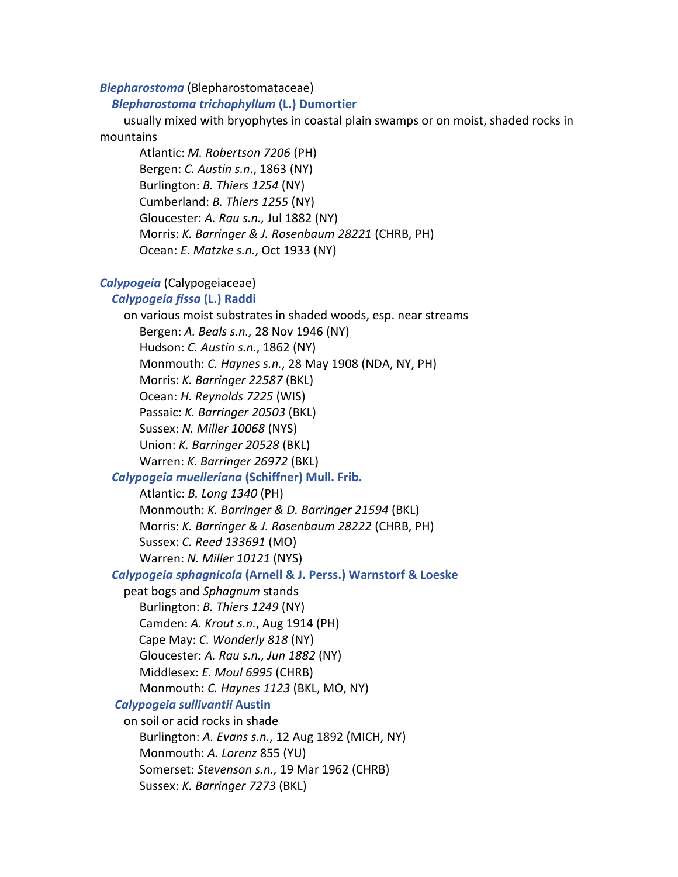#### *Blepharostoma* (Blepharostomataceae)

#### *Blepharostoma trichophyllum* **(L.) Dumortier**

usually mixed with bryophytes in coastal plain swamps or on moist, shaded rocks in mountains

Atlantic: *M. Robertson 7206* (PH) Bergen: *C. Austin s.n*., 1863 (NY) Burlington: *B. Thiers 1254* (NY) Cumberland: *B. Thiers 1255* (NY) Gloucester: *A. Rau s.n.,* Jul 1882 (NY) Morris: *K. Barringer & J. Rosenbaum 28221* (CHRB, PH) Ocean: *E. Matzke s.n.*, Oct 1933 (NY)

#### *Calypogeia* (Calypogeiaceae)

#### *Calypogeia fissa* **(L.) Raddi**

on various moist substrates in shaded woods, esp. near streams Bergen: *A. Beals s.n.,* 28 Nov 1946 (NY) Hudson: *C. Austin s.n.*, 1862 (NY) Monmouth: *C. Haynes s.n.*, 28 May 1908 (NDA, NY, PH) Morris: *K. Barringer 22587* (BKL) Ocean: *H. Reynolds 7225* (WIS) Passaic: *K. Barringer 20503* (BKL) Sussex: *N. Miller 10068* (NYS) Union: *K. Barringer 20528* (BKL) Warren: *K. Barringer 26972* (BKL)

## *Calypogeia muelleriana* **(Schiffner) Mull. Frib.**

Atlantic: *B. Long 1340* (PH) Monmouth: *K. Barringer & D. Barringer 21594* (BKL) Morris: *K. Barringer & J. Rosenbaum 28222* (CHRB, PH) Sussex: *C. Reed 133691* (MO) Warren: *N. Miller 10121* (NYS)

# *Calypogeia sphagnicola* **(Arnell & J. Perss.) Warnstorf & Loeske**

peat bogs and *Sphagnum* stands Burlington: *B. Thiers 1249* (NY) Camden: *A. Krout s.n.*, Aug 1914 (PH) Cape May: *C. Wonderly 818* (NY) Gloucester: *A. Rau s.n., Jun 1882* (NY) Middlesex: *E. Moul 6995* (CHRB) Monmouth: *C. Haynes 1123* (BKL, MO, NY)

#### *Calypogeia sullivantii* **Austin**

on soil or acid rocks in shade Burlington: *A. Evans s.n.*, 12 Aug 1892 (MICH, NY) Monmouth: *A. Lorenz* 855 (YU) Somerset: *Stevenson s.n.,* 19 Mar 1962 (CHRB) Sussex: *K. Barringer 7273* (BKL)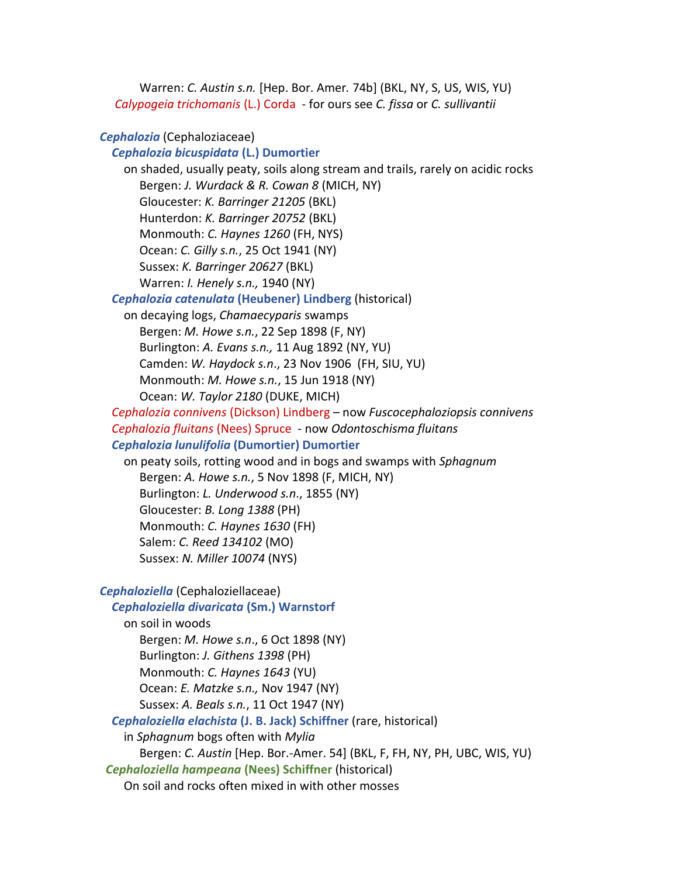Warren: *C. Austin s.n.* [Hep. Bor. Amer*.* 74b] (BKL, NY, S, US, WIS, YU) *Calypogeia trichomanis* (L.) Corda - for ours see *C. fissa* or *C. sullivantii*

#### *Cephalozia* (Cephaloziaceae)

## *Cephalozia bicuspidata* **(L.) Dumortier**

on shaded, usually peaty, soils along stream and trails, rarely on acidic rocks Bergen: *J. Wurdack & R. Cowan 8* (MICH, NY) Gloucester: *K. Barringer 21205* (BKL) Hunterdon: *K. Barringer 20752* (BKL) Monmouth: *C. Haynes 1260* (FH, NYS) Ocean: *C. Gilly s.n.*, 25 Oct 1941 (NY) Sussex: *K. Barringer 20627* (BKL) Warren: *I. Henely s.n.,* 1940 (NY)

# *Cephalozia catenulata* **(Heubener) Lindberg** (historical)

on decaying logs, *Chamaecyparis* swamps Bergen: *M. Howe s.n.*, 22 Sep 1898 (F, NY) Burlington: *A. Evans s.n.,* 11 Aug 1892 (NY, YU) Camden: *W. Haydock s.n*., 23 Nov 1906 (FH, SIU, YU) Monmouth: *M. Howe s.n.*, 15 Jun 1918 (NY) Ocean: *W. Taylor 2180* (DUKE, MICH)

*Cephalozia connivens* (Dickson) Lindberg – now *Fuscocephaloziopsis connivens Cephalozia fluitans* (Nees) Spruce - now *Odontoschisma fluitans Cephalozia lunulifolia* **(Dumortier) Dumortier**

on peaty soils, rotting wood and in bogs and swamps with *Sphagnum* Bergen: *A. Howe s.n.*, 5 Nov 1898 (F, MICH, NY) Burlington: *L. Underwood s.n*., 1855 (NY) Gloucester: *B. Long 1388* (PH) Monmouth: *C. Haynes 1630* (FH) Salem: *C. Reed 134102* (MO) Sussex: *N. Miller 10074* (NYS)

*Cephaloziella* (Cephaloziellaceae)

#### *Cephaloziella divaricata* **(Sm.) Warnstorf**

on soil in woods Bergen: *M. Howe s.n*., 6 Oct 1898 (NY) Burlington: *J. Githens 1398* (PH) Monmouth: *C. Haynes 1643* (YU) Ocean: *E. Matzke s.n.,* Nov 1947 (NY) Sussex: *A. Beals s.n.*, 11 Oct 1947 (NY)

*Cephaloziella elachista* **(J. B. Jack) Schiffner** (rare, historical)

in *Sphagnum* bogs often with *Mylia*

Bergen: *C. Austin* [Hep. Bor.-Amer. 54] (BKL, F, FH, NY, PH, UBC, WIS, YU)

*Cephaloziella hampeana* **(Nees) Schiffner** (historical)

On soil and rocks often mixed in with other mosses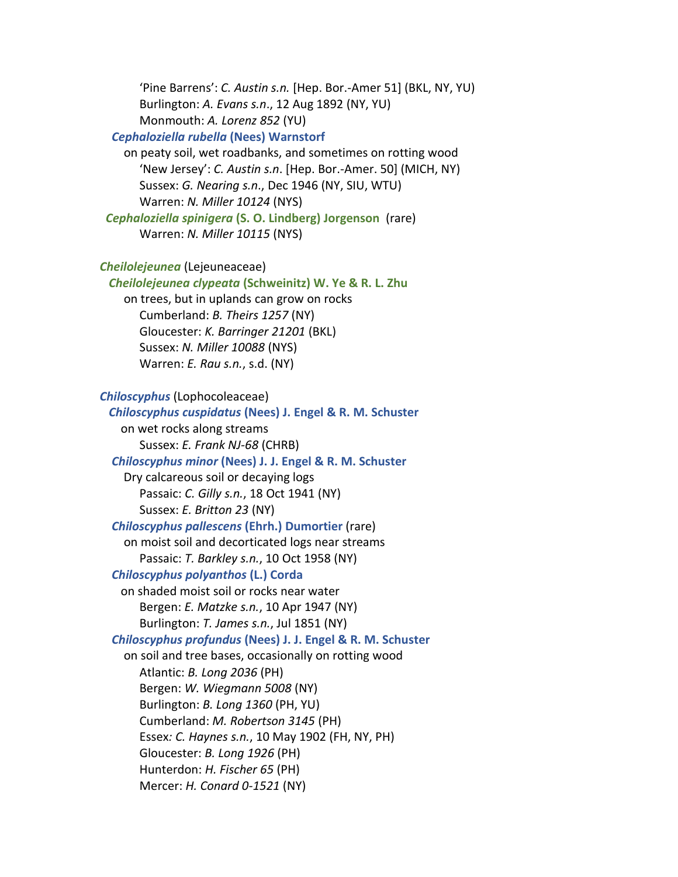'Pine Barrens': *C. Austin s.n.* [Hep. Bor.-Amer 51] (BKL, NY, YU) Burlington: *A. Evans s.n*., 12 Aug 1892 (NY, YU) Monmouth: *A. Lorenz 852* (YU)

# *Cephaloziella rubella* **(Nees) Warnstorf**

on peaty soil, wet roadbanks, and sometimes on rotting wood 'New Jersey': *C. Austin s.n*. [Hep. Bor.-Amer. 50] (MICH, NY) Sussex: *G. Nearing s.n*., Dec 1946 (NY, SIU, WTU) Warren: *N. Miller 10124* (NYS)

 *Cephaloziella spinigera* **(S. O. Lindberg) Jorgenson** (rare) Warren: *N. Miller 10115* (NYS)

```
Cheilolejeunea (Lejeuneaceae)
```
*Cheilolejeunea clypeata* **(Schweinitz) W. Ye & R. L. Zhu**

on trees, but in uplands can grow on rocks Cumberland: *B. Theirs 1257* (NY) Gloucester: *K. Barringer 21201* (BKL) Sussex: *N. Miller 10088* (NYS) Warren: *E. Rau s.n.*, s.d. (NY)

```
Chiloscyphus (Lophocoleaceae)
```
 *Chiloscyphus cuspidatus* **(Nees) J. Engel & R. M. Schuster** on wet rocks along streams Sussex: *E. Frank NJ-68* (CHRB) *Chiloscyphus minor* **(Nees) J. J. Engel & R. M. Schuster** Dry calcareous soil or decaying logs Passaic: *C. Gilly s.n.*, 18 Oct 1941 (NY) Sussex: *E. Britton 23* (NY) *Chiloscyphus pallescens* **(Ehrh.) Dumortier** (rare) on moist soil and decorticated logs near streams Passaic: *T. Barkley s.n.*, 10 Oct 1958 (NY) *Chiloscyphus polyanthos* **(L.) Corda** on shaded moist soil or rocks near water Bergen: *E. Matzke s.n.*, 10 Apr 1947 (NY) Burlington: *T. James s.n.*, Jul 1851 (NY) *Chiloscyphus profundus* **(Nees) J. J. Engel & R. M. Schuster** on soil and tree bases, occasionally on rotting wood Atlantic: *B. Long 2036* (PH) Bergen: *W. Wiegmann 5008* (NY) Burlington: *B. Long 1360* (PH, YU) Cumberland: *M. Robertson 3145* (PH) Essex*: C. Haynes s.n.*, 10 May 1902 (FH, NY, PH) Gloucester: *B. Long 1926* (PH) Hunterdon: *H. Fischer 65* (PH) Mercer: *H. Conard 0-1521* (NY)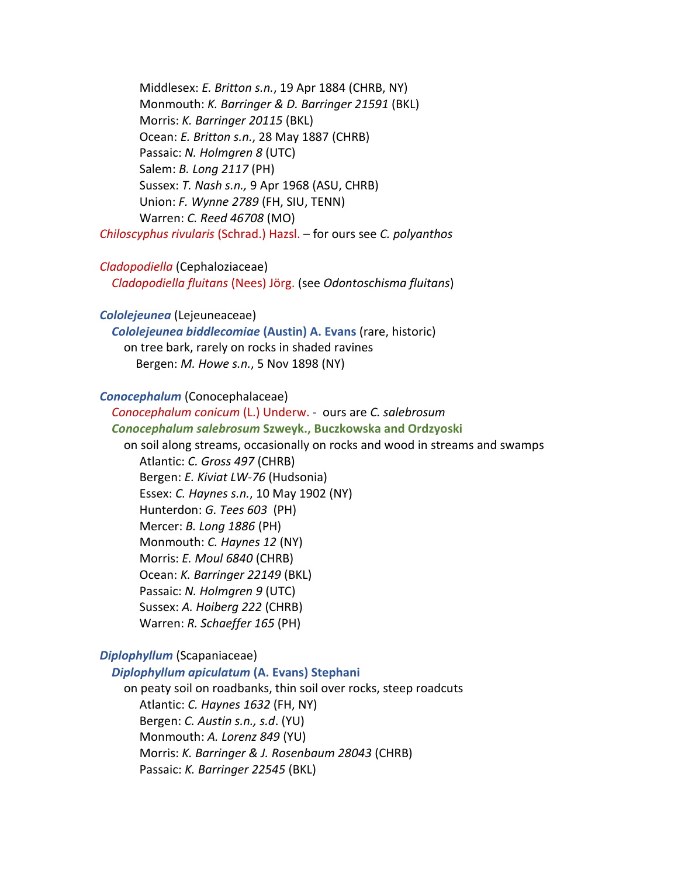Middlesex: *E. Britton s.n.*, 19 Apr 1884 (CHRB, NY) Monmouth: *K. Barringer & D. Barringer 21591* (BKL) Morris: *K. Barringer 20115* (BKL) Ocean: *E. Britton s.n.*, 28 May 1887 (CHRB) Passaic: *N. Holmgren 8* (UTC) Salem: *B. Long 2117* (PH) Sussex: *T. Nash s.n.,* 9 Apr 1968 (ASU, CHRB) Union: *F. Wynne 2789* (FH, SIU, TENN) Warren: *C. Reed 46708* (MO) *Chiloscyphus rivularis* (Schrad.) Hazsl. – for ours see *C. polyanthos*

#### *Cladopodiella* (Cephaloziaceae)

*Cladopodiella fluitans* (Nees) Jörg. (see *Odontoschisma fluitans*)

# *Cololejeunea* (Lejeuneaceae)

*Cololejeunea biddlecomiae* **(Austin) A. Evans** (rare, historic) on tree bark, rarely on rocks in shaded ravines Bergen: *M. Howe s.n.*, 5 Nov 1898 (NY)

# *Conocephalum* (Conocephalaceae)

*Conocephalum conicum* (L.) Underw. - ours are *C. salebrosum Conocephalum salebrosum* **Szweyk., Buczkowska and Ordzyoski** on soil along streams, occasionally on rocks and wood in streams and swamps Atlantic: *C. Gross 497* (CHRB) Bergen: *E. Kiviat LW-76* (Hudsonia) Essex: *C. Haynes s.n.*, 10 May 1902 (NY) Hunterdon: *G. Tees 603* (PH) Mercer: *B. Long 1886* (PH) Monmouth: *C. Haynes 12* (NY) Morris: *E. Moul 6840* (CHRB) Ocean: *K. Barringer 22149* (BKL) Passaic: *N. Holmgren 9* (UTC) Sussex: *A. Hoiberg 222* (CHRB) Warren: *R. Schaeffer 165* (PH)

#### *Diplophyllum* (Scapaniaceae)

*Diplophyllum apiculatum* **(A. Evans) Stephani**  on peaty soil on roadbanks, thin soil over rocks, steep roadcuts Atlantic: *C. Haynes 1632* (FH, NY) Bergen: *C. Austin s.n., s.d*. (YU) Monmouth: *A. Lorenz 849* (YU) Morris: *K. Barringer & J. Rosenbaum 28043* (CHRB) Passaic: *K. Barringer 22545* (BKL)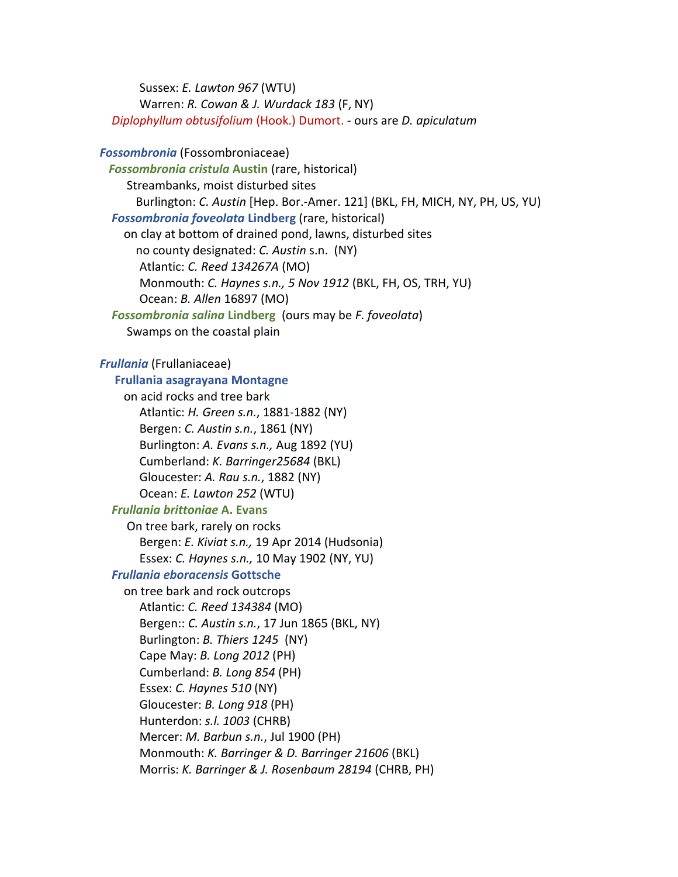Sussex: *E. Lawton 967* (WTU) Warren: *R. Cowan & J. Wurdack 183* (F, NY) *Diplophyllum obtusifolium* (Hook.) Dumort. - ours are *D. apiculatum*

*Fossombronia* (Fossombroniaceae) *Fossombronia cristula* **Austin** (rare, historical) Streambanks, moist disturbed sites Burlington: *C. Austin* [Hep. Bor.-Amer. 121] (BKL, FH, MICH, NY, PH, US, YU) *Fossombronia foveolata* **Lindberg** (rare, historical) on clay at bottom of drained pond, lawns, disturbed sites no county designated: *C. Austin* s.n. (NY) Atlantic: *C. Reed 134267A* (MO) Monmouth: *C. Haynes s.n., 5 Nov 1912* (BKL, FH, OS, TRH, YU) Ocean: *B. Allen* 16897 (MO) *Fossombronia salina* **Lindberg** (ours may be *F. foveolata*) Swamps on the coastal plain *Frullania* (Frullaniaceae) **Frullania asagrayana Montagne** on acid rocks and tree bark Atlantic: *H. Green s.n.*, 1881-1882 (NY) Bergen: *C. Austin s.n.*, 1861 (NY) Burlington: *A. Evans s.n.,* Aug 1892 (YU) Cumberland: *K. Barringer25684* (BKL) Gloucester: *A. Rau s.n.*, 1882 (NY) Ocean: *E. Lawton 252* (WTU) *Frullania brittoniae* **A. Evans** On tree bark, rarely on rocks Bergen: *E. Kiviat s.n.,* 19 Apr 2014 (Hudsonia) Essex: *C. Haynes s.n.,* 10 May 1902 (NY, YU) *Frullania eboracensis* **Gottsche** on tree bark and rock outcrops Atlantic: *C. Reed 134384* (MO) Bergen:: *C. Austin s.n.*, 17 Jun 1865 (BKL, NY) Burlington: *B. Thiers 1245* (NY) Cape May: *B. Long 2012* (PH) Cumberland: *B. Long 854* (PH) Essex: *C. Haynes 510* (NY) Gloucester: *B. Long 918* (PH) Hunterdon: *s.l. 1003* (CHRB) Mercer: *M. Barbun s.n.*, Jul 1900 (PH) Monmouth: *K. Barringer & D. Barringer 21606* (BKL) Morris: *K. Barringer & J. Rosenbaum 28194* (CHRB, PH)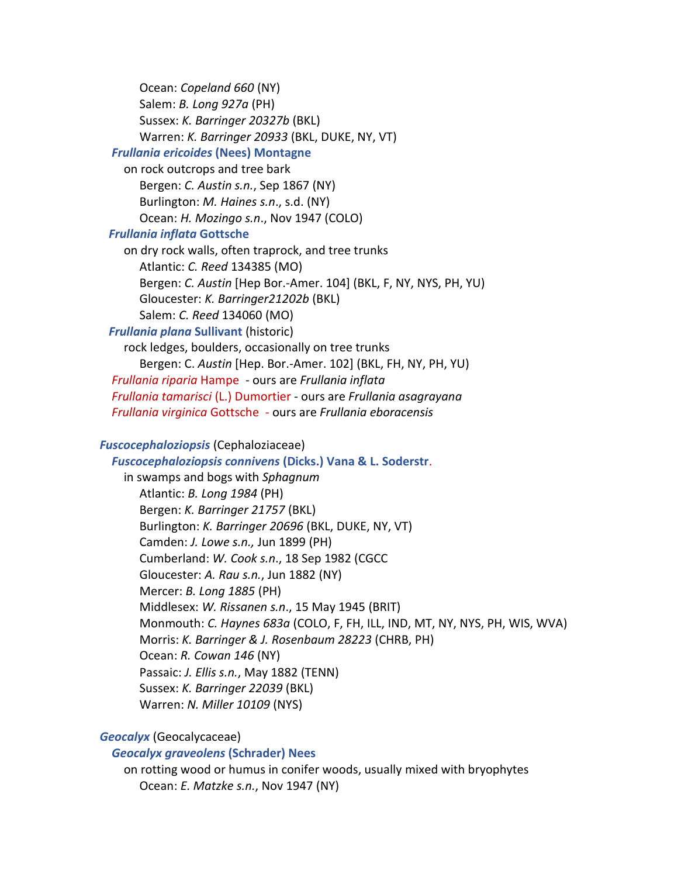Ocean: *Copeland 660* (NY) Salem: *B. Long 927a* (PH) Sussex: *K. Barringer 20327b* (BKL) Warren: *K. Barringer 20933* (BKL, DUKE, NY, VT)

# *Frullania ericoides* **(Nees) Montagne**

on rock outcrops and tree bark Bergen: *C. Austin s.n.*, Sep 1867 (NY) Burlington: *M. Haines s.n*., s.d. (NY) Ocean: *H. Mozingo s.n*., Nov 1947 (COLO)

#### *Frullania inflata* **Gottsche**

on dry rock walls, often traprock, and tree trunks Atlantic: *C. Reed* 134385 (MO) Bergen: *C. Austin* [Hep Bor.-Amer. 104] (BKL, F, NY, NYS, PH, YU) Gloucester: *K. Barringer21202b* (BKL) Salem: *C. Reed* 134060 (MO)

#### *Frullania plana* **Sullivant** (historic)

rock ledges, boulders, occasionally on tree trunks Bergen: C. *Austin* [Hep. Bor.-Amer. 102] (BKL, FH, NY, PH, YU) *Frullania riparia* Hampe - ours are *Frullania inflata Frullania tamarisci* (L.) Dumortier - ours are *Frullania asagrayana Frullania virginica* Gottsche - ours are *Frullania eboracensis*

# *Fuscocephaloziopsis* (Cephaloziaceae)

 *Fuscocephaloziopsis connivens* **(Dicks.) Vana & L. Soderstr**.

in swamps and bogs with *Sphagnum* Atlantic: *B. Long 1984* (PH) Bergen: *K. Barringer 21757* (BKL) Burlington: *K. Barringer 20696* (BKL, DUKE, NY, VT) Camden: *J. Lowe s.n.,* Jun 1899 (PH) Cumberland: *W. Cook s.n*., 18 Sep 1982 (CGCC Gloucester: *A. Rau s.n.*, Jun 1882 (NY) Mercer: *B. Long 1885* (PH) Middlesex: *W. Rissanen s.n*., 15 May 1945 (BRIT) Monmouth: *C. Haynes 683a* (COLO, F, FH, ILL, IND, MT, NY, NYS, PH, WIS, WVA) Morris: *K. Barringer & J. Rosenbaum 28223* (CHRB, PH) Ocean: *R. Cowan 146* (NY) Passaic: *J. Ellis s.n.*, May 1882 (TENN) Sussex: *K. Barringer 22039* (BKL) Warren: *N. Miller 10109* (NYS)

# *Geocalyx* (Geocalycaceae)

#### *Geocalyx graveolens* **(Schrader) Nees**

on rotting wood or humus in conifer woods, usually mixed with bryophytes Ocean: *E. Matzke s.n.*, Nov 1947 (NY)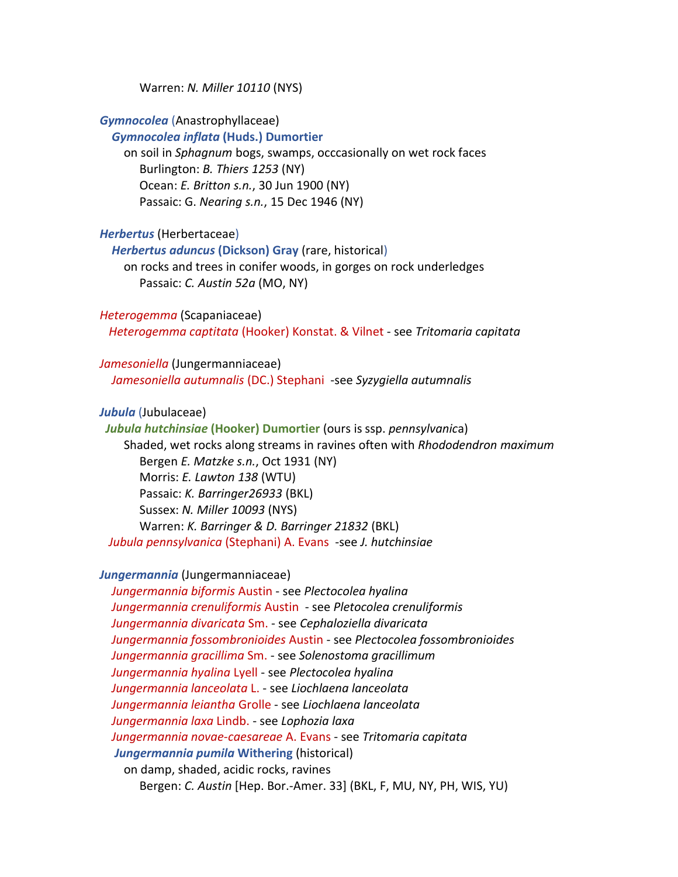Warren: *N. Miller 10110* (NYS)

*Gymnocolea* (Anastrophyllaceae)

*Gymnocolea inflata* **(Huds.) Dumortier**

on soil in *Sphagnum* bogs, swamps, occcasionally on wet rock faces Burlington: *B. Thiers 1253* (NY) Ocean: *E. Britton s.n.*, 30 Jun 1900 (NY) Passaic: G. *Nearing s.n.*, 15 Dec 1946 (NY)

*Herbertus* (Herbertaceae)

*Herbertus aduncus* **(Dickson) Gray** (rare, historical)

on rocks and trees in conifer woods, in gorges on rock underledges Passaic: *C. Austin 52a* (MO, NY)

*Heterogemma* (Scapaniaceae)

*Heterogemma captitata* (Hooker) Konstat. & Vilnet - see *Tritomaria capitata*

*Jamesoniella* (Jungermanniaceae)

*Jamesoniella autumnalis* (DC.) Stephani -see *Syzygiella autumnalis*

*Jubula* (Jubulaceae)

*Jubula hutchinsiae* **(Hooker) Dumortier** (ours is ssp. *pennsylvanic*a) Shaded, wet rocks along streams in ravines often with *Rhododendron maximum* Bergen *E. Matzke s.n.*, Oct 1931 (NY) Morris: *E. Lawton 138* (WTU) Passaic: *K. Barringer26933* (BKL) Sussex: *N. Miller 10093* (NYS) Warren: *K. Barringer & D. Barringer 21832* (BKL) *Jubula pennsylvanica* (Stephani) A. Evans -see *J. hutchinsiae*

*Jungermannia* (Jungermanniaceae)

*Jungermannia biformis* Austin - see *Plectocolea hyalina Jungermannia crenuliformis* Austin - see *Pletocolea crenuliformis Jungermannia divaricata* Sm. - see *Cephaloziella divaricata Jungermannia fossombronioides* Austin - see *Plectocolea fossombronioides Jungermannia gracillima* Sm. - see *Solenostoma gracillimum Jungermannia hyalina* Lyell - see *Plectocolea hyalina Jungermannia lanceolata* L. - see *Liochlaena lanceolata Jungermannia leiantha* Grolle - see *Liochlaena lanceolata Jungermannia laxa* Lindb. - see *Lophozia laxa Jungermannia novae-caesareae* A. Evans - see *Tritomaria capitata Jungermannia pumila* **Withering** (historical) on damp, shaded, acidic rocks, ravines Bergen: *C. Austin* [Hep. Bor.-Amer. 33] (BKL, F, MU, NY, PH, WIS, YU)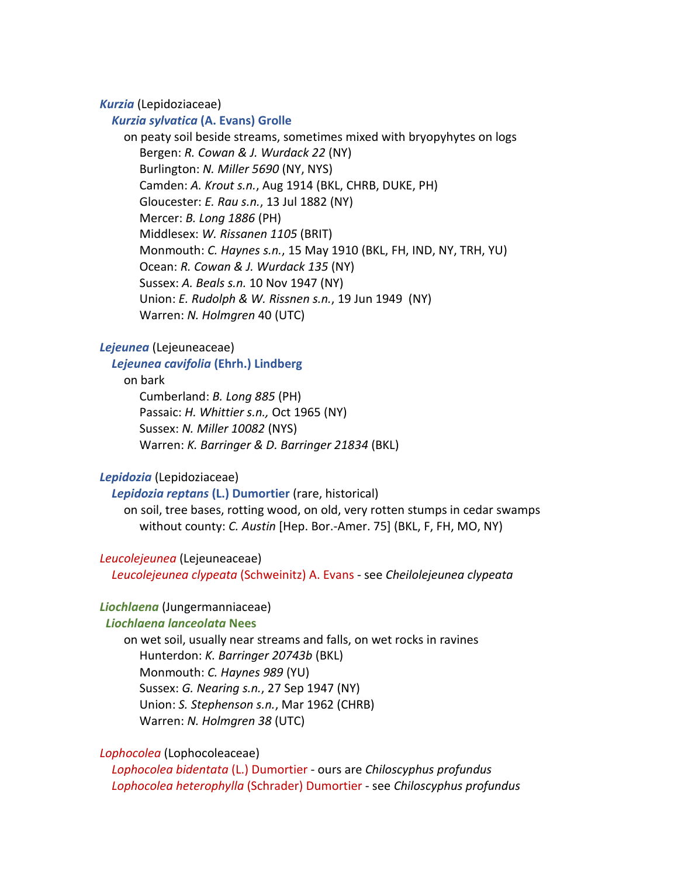*Kurzia* (Lepidoziaceae)

#### *Kurzia sylvatica* **(A. Evans) Grolle**

on peaty soil beside streams, sometimes mixed with bryopyhytes on logs Bergen: *R. Cowan & J. Wurdack 22* (NY) Burlington: *N. Miller 5690* (NY, NYS) Camden: *A. Krout s.n.*, Aug 1914 (BKL, CHRB, DUKE, PH) Gloucester: *E. Rau s.n.*, 13 Jul 1882 (NY) Mercer: *B. Long 1886* (PH) Middlesex: *W. Rissanen 1105* (BRIT) Monmouth: *C. Haynes s.n.*, 15 May 1910 (BKL, FH, IND, NY, TRH, YU) Ocean: *R. Cowan & J. Wurdack 135* (NY) Sussex: *A. Beals s.n.* 10 Nov 1947 (NY) Union: *E. Rudolph & W. Rissnen s.n.*, 19 Jun 1949 (NY) Warren: *N. Holmgren* 40 (UTC)

#### *Lejeunea* (Lejeuneaceae)

# *Lejeunea cavifolia* **(Ehrh.) Lindberg**

on bark

Cumberland: *B. Long 885* (PH) Passaic: *H. Whittier s.n.,* Oct 1965 (NY) Sussex: *N. Miller 10082* (NYS) Warren: *K. Barringer & D. Barringer 21834* (BKL)

## *Lepidozia* (Lepidoziaceae)

# *Lepidozia reptans* **(L.) Dumortier** (rare, historical)

on soil, tree bases, rotting wood, on old, very rotten stumps in cedar swamps without county: *C. Austin* [Hep. Bor.-Amer. 75] (BKL, F, FH, MO, NY)

#### *Leucolejeunea* (Lejeuneaceae)

*Leucolejeunea clypeata* (Schweinitz) A. Evans - see *Cheilolejeunea clypeata*

# *Liochlaena* (Jungermanniaceae)

#### *Liochlaena lanceolata* **Nees**

on wet soil, usually near streams and falls, on wet rocks in ravines Hunterdon: *K. Barringer 20743b* (BKL) Monmouth: *C. Haynes 989* (YU) Sussex: *G. Nearing s.n.*, 27 Sep 1947 (NY) Union: *S. Stephenson s.n.*, Mar 1962 (CHRB) Warren: *N. Holmgren 38* (UTC)

# *Lophocolea* (Lophocoleaceae)

*Lophocolea bidentata* (L.) Dumortier - ours are *Chiloscyphus profundus Lophocolea heterophylla* (Schrader) Dumortier - see *Chiloscyphus profundus*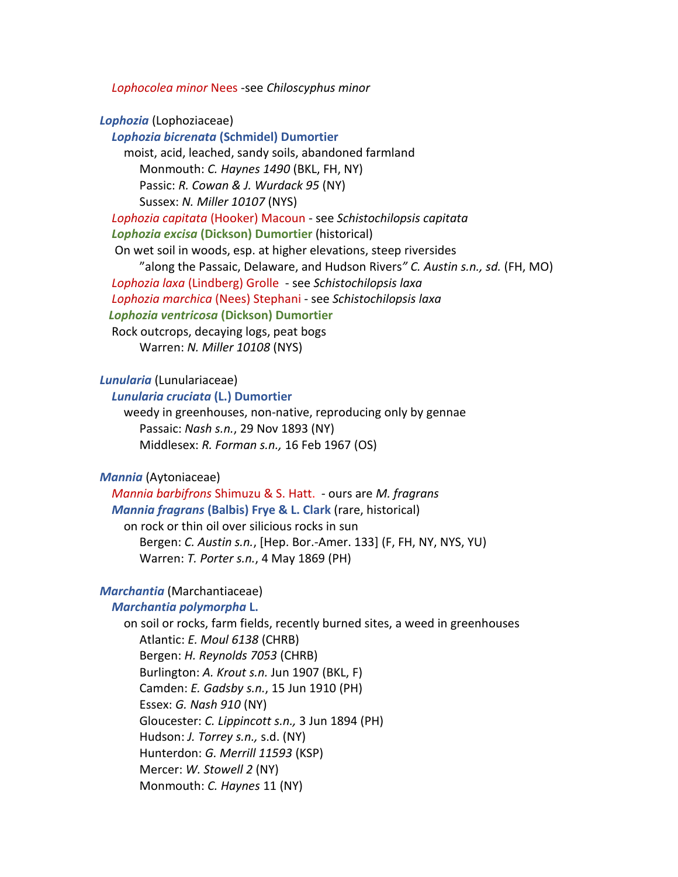*Lophocolea minor* Nees -see *Chiloscyphus minor*

#### *Lophozia* (Lophoziaceae)

*Lophozia bicrenata* **(Schmidel) Dumortier** moist, acid, leached, sandy soils, abandoned farmland Monmouth: *C. Haynes 1490* (BKL, FH, NY) Passic: *R. Cowan & J. Wurdack 95* (NY) Sussex: *N. Miller 10107* (NYS) *Lophozia capitata* (Hooker) Macoun - see *Schistochilopsis capitata Lophozia excisa* **(Dickson) Dumortier** (historical) On wet soil in woods, esp. at higher elevations, steep riversides "along the Passaic, Delaware, and Hudson Rivers*" C. Austin s.n., sd.* (FH, MO) *Lophozia laxa* (Lindberg) Grolle- see *Schistochilopsis laxa Lophozia marchica* (Nees) Stephani - see *Schistochilopsis laxa Lophozia ventricosa* **(Dickson) Dumortier** Rock outcrops, decaying logs, peat bogs Warren: *N. Miller 10108* (NYS)

#### *Lunularia* (Lunulariaceae)

*Lunularia cruciata* **(L.) Dumortier**

weedy in greenhouses, non-native, reproducing only by gennae Passaic: *Nash s.n.*, 29 Nov 1893 (NY) Middlesex: *R. Forman s.n.,* 16 Feb 1967 (OS)

# *Mannia* (Aytoniaceae)

*Mannia barbifrons* Shimuzu & S. Hatt. - ours are *M. fragrans Mannia fragrans* **(Balbis) Frye & L. Clark** (rare, historical) on rock or thin oil over silicious rocks in sun Bergen: *C. Austin s.n.*, [Hep. Bor.-Amer. 133] (F, FH, NY, NYS, YU) Warren: *T. Porter s.n.*, 4 May 1869 (PH)

# *Marchantia* (Marchantiaceae)

*Marchantia polymorpha* **L.**

on soil or rocks, farm fields, recently burned sites, a weed in greenhouses Atlantic: *E. Moul 6138* (CHRB) Bergen: *H. Reynolds 7053* (CHRB) Burlington: *A. Krout s.n.* Jun 1907 (BKL, F) Camden: *E. Gadsby s.n.*, 15 Jun 1910 (PH) Essex: *G. Nash 910* (NY) Gloucester: *C. Lippincott s.n.,* 3 Jun 1894 (PH) Hudson: *J. Torrey s.n.,* s.d. (NY) Hunterdon: *G. Merrill 11593* (KSP) Mercer: *W. Stowell 2* (NY) Monmouth: *C. Haynes* 11 (NY)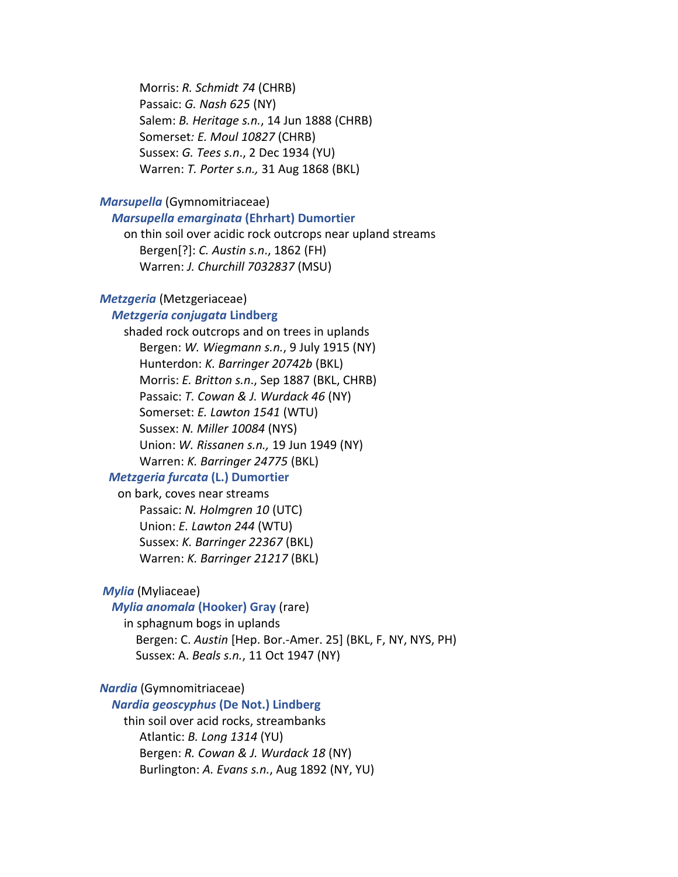Morris: *R. Schmidt 74* (CHRB) Passaic: *G. Nash 625* (NY) Salem: *B. Heritage s.n.*, 14 Jun 1888 (CHRB) Somerset*: E. Moul 10827* (CHRB) Sussex: *G. Tees s.n*., 2 Dec 1934 (YU) Warren: *T. Porter s.n.,* 31 Aug 1868 (BKL)

#### *Marsupella* (Gymnomitriaceae)

# *Marsupella emarginata* **(Ehrhart) Dumortier**

on thin soil over acidic rock outcrops near upland streams Bergen[?]: *C. Austin s.n*., 1862 (FH) Warren: *J. Churchill 7032837* (MSU)

# *Metzgeria* (Metzgeriaceae)

# *Metzgeria conjugata* **Lindberg**

shaded rock outcrops and on trees in uplands Bergen: *W. Wiegmann s.n.*, 9 July 1915 (NY) Hunterdon: *K. Barringer 20742b* (BKL) Morris: *E. Britton s.n*., Sep 1887 (BKL, CHRB) Passaic: *T. Cowan & J. Wurdack 46* (NY) Somerset: *E. Lawton 1541* (WTU) Sussex: *N. Miller 10084* (NYS) Union: *W. Rissanen s.n.,* 19 Jun 1949 (NY) Warren: *K. Barringer 24775* (BKL)

#### *Metzgeria furcata* **(L.) Dumortier**

 on bark, coves near streams Passaic: *N. Holmgren 10* (UTC) Union: *E. Lawton 244* (WTU) Sussex: *K. Barringer 22367* (BKL) Warren: *K. Barringer 21217* (BKL)

# *Mylia* (Myliaceae)

*Mylia anomala* **(Hooker) Gray** (rare)

in sphagnum bogs in uplands Bergen: C. *Austin* [Hep. Bor.-Amer. 25] (BKL, F, NY, NYS, PH) Sussex: A. *Beals s.n.*, 11 Oct 1947 (NY)

# *Nardia* (Gymnomitriaceae)

#### *Nardia geoscyphus* **(De Not.) Lindberg**

thin soil over acid rocks, streambanks Atlantic: *B. Long 1314* (YU) Bergen: *R. Cowan & J. Wurdack 18* (NY) Burlington: *A. Evans s.n.*, Aug 1892 (NY, YU)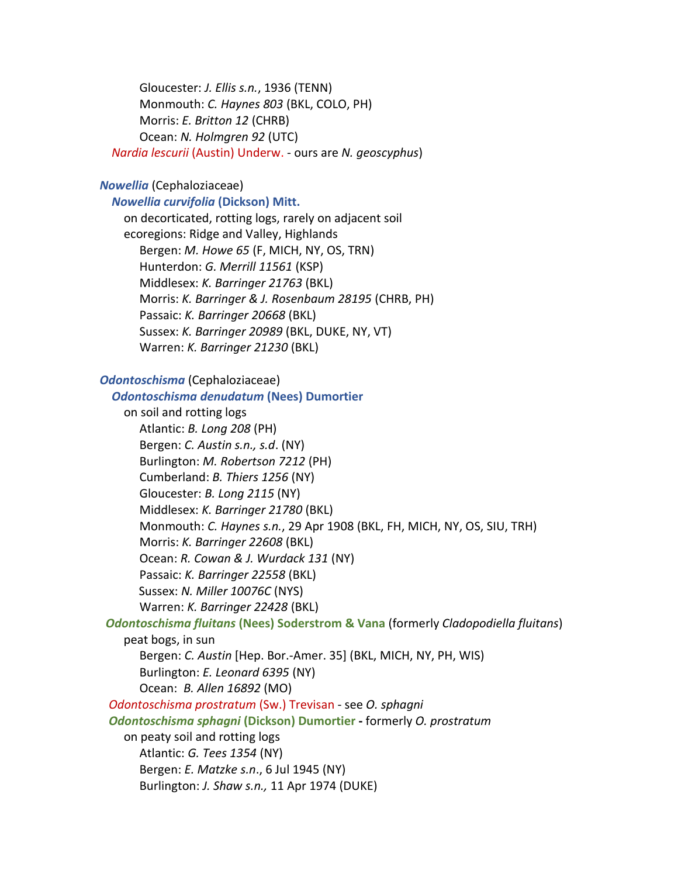Gloucester: *J. Ellis s.n.*, 1936 (TENN) Monmouth: *C. Haynes 803* (BKL, COLO, PH) Morris: *E. Britton 12* (CHRB) Ocean: *N. Holmgren 92* (UTC) *Nardia lescurii* (Austin) Underw. - ours are *N. geoscyphus*)

#### *Nowellia* (Cephaloziaceae)

# *Nowellia curvifolia* **(Dickson) Mitt.**

on decorticated, rotting logs, rarely on adjacent soil ecoregions: Ridge and Valley, Highlands Bergen: *M. Howe 65* (F, MICH, NY, OS, TRN) Hunterdon: *G. Merrill 11561* (KSP) Middlesex: *K. Barringer 21763* (BKL) Morris: *K. Barringer & J. Rosenbaum 28195* (CHRB, PH) Passaic: *K. Barringer 20668* (BKL) Sussex: *K. Barringer 20989* (BKL, DUKE, NY, VT) Warren: *K. Barringer 21230* (BKL)

# *Odontoschisma* (Cephaloziaceae)

*Odontoschisma denudatum* **(Nees) Dumortier** on soil and rotting logs Atlantic: *B. Long 208* (PH) Bergen: *C. Austin s.n., s.d*. (NY) Burlington: *M. Robertson 7212* (PH) Cumberland: *B. Thiers 1256* (NY) Gloucester: *B. Long 2115* (NY) Middlesex: *K. Barringer 21780* (BKL) Monmouth: *C. Haynes s.n.*, 29 Apr 1908 (BKL, FH, MICH, NY, OS, SIU, TRH) Morris: *K. Barringer 22608* (BKL) Ocean: *R. Cowan & J. Wurdack 131* (NY) Passaic: *K. Barringer 22558* (BKL) Sussex: *N. Miller 10076C* (NYS) Warren: *K. Barringer 22428* (BKL)

# *Odontoschisma fluitans* **(Nees) Soderstrom & Vana** (formerly *Cladopodiella fluitans*)

peat bogs, in sun

Bergen: *C. Austin* [Hep. Bor.-Amer. 35] (BKL, MICH, NY, PH, WIS) Burlington: *E. Leonard 6395* (NY) Ocean: *B. Allen 16892* (MO)

*Odontoschisma prostratum* (Sw.) Trevisan - see *O. sphagni Odontoschisma sphagni* **(Dickson) Dumortier -** formerly *O. prostratum* on peaty soil and rotting logs Atlantic: *G. Tees 1354* (NY) Bergen: *E. Matzke s.n*., 6 Jul 1945 (NY) Burlington: *J. Shaw s.n.,* 11 Apr 1974 (DUKE)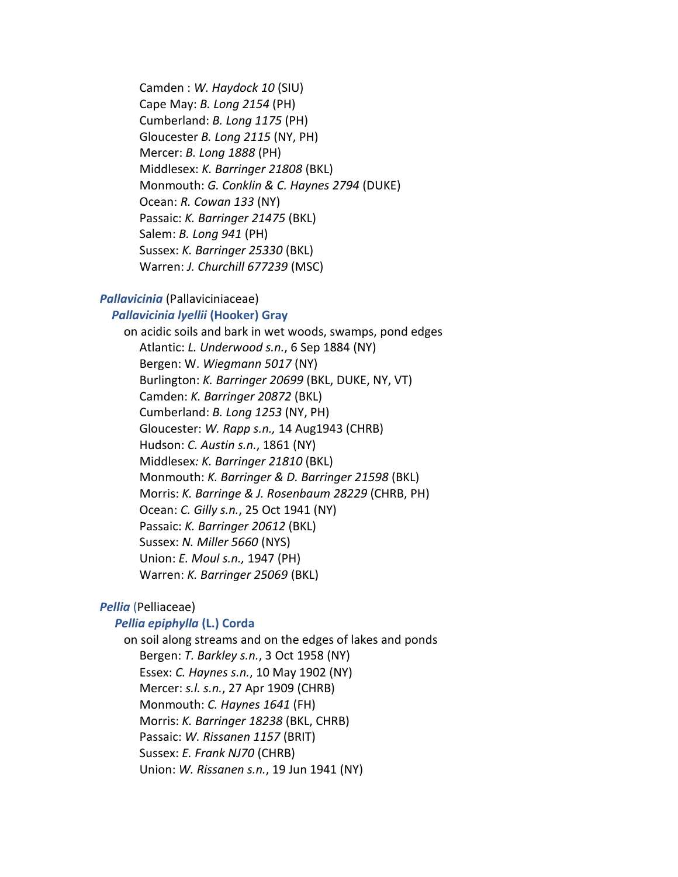Camden : *W. Haydock 10* (SIU) Cape May: *B. Long 2154* (PH) Cumberland: *B. Long 1175* (PH) Gloucester *B. Long 2115* (NY, PH) Mercer: *B. Long 1888* (PH) Middlesex: *K. Barringer 21808* (BKL) Monmouth: *G. Conklin & C. Haynes 2794* (DUKE) Ocean: *R. Cowan 133* (NY) Passaic: *K. Barringer 21475* (BKL) Salem: *B. Long 941* (PH) Sussex: *K. Barringer 25330* (BKL) Warren: *J. Churchill 677239* (MSC)

## *Pallavicinia* (Pallaviciniaceae)

#### *Pallavicinia lyellii* **(Hooker) Gray**

on acidic soils and bark in wet woods, swamps, pond edges Atlantic: *L. Underwood s.n.*, 6 Sep 1884 (NY) Bergen: W. *Wiegmann 5017* (NY) Burlington: *K. Barringer 20699* (BKL, DUKE, NY, VT) Camden: *K. Barringer 20872* (BKL) Cumberland: *B. Long 1253* (NY, PH) Gloucester: *W. Rapp s.n.,* 14 Aug1943 (CHRB) Hudson: *C. Austin s.n.*, 1861 (NY) Middlesex*: K. Barringer 21810* (BKL) Monmouth: *K. Barringer & D. Barringer 21598* (BKL) Morris: *K. Barringe & J. Rosenbaum 28229* (CHRB, PH) Ocean: *C. Gilly s.n.*, 25 Oct 1941 (NY) Passaic: *K. Barringer 20612* (BKL) Sussex: *N. Miller 5660* (NYS) Union: *E. Moul s.n.,* 1947 (PH) Warren: *K. Barringer 25069* (BKL)

#### *Pellia* (Pelliaceae)

# *Pellia epiphylla* **(L.) Corda**

on soil along streams and on the edges of lakes and ponds Bergen: *T. Barkley s.n.*, 3 Oct 1958 (NY) Essex: *C. Haynes s.n.*, 10 May 1902 (NY) Mercer: *s.l. s.n.*, 27 Apr 1909 (CHRB) Monmouth: *C. Haynes 1641* (FH) Morris: *K. Barringer 18238* (BKL, CHRB) Passaic: *W. Rissanen 1157* (BRIT) Sussex: *E. Frank NJ70* (CHRB) Union: *W. Rissanen s.n.*, 19 Jun 1941 (NY)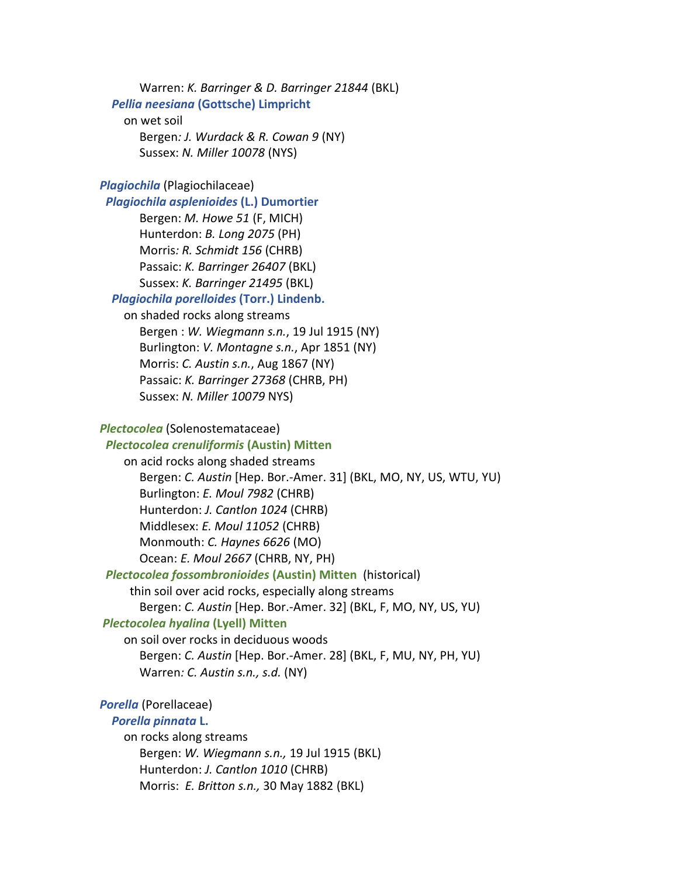Warren: *K. Barringer & D. Barringer 21844* (BKL) *Pellia neesiana* **(Gottsche) Limpricht** on wet soil

Bergen*: J. Wurdack & R. Cowan 9* (NY) Sussex: *N. Miller 10078* (NYS)

*Plagiochila* (Plagiochilaceae)

*Plagiochila asplenioides* **(L.) Dumortier**

Bergen: *M. Howe 51* (F, MICH) Hunterdon: *B. Long 2075* (PH) Morris*: R. Schmidt 156* (CHRB) Passaic: *K. Barringer 26407* (BKL) Sussex: *K. Barringer 21495* (BKL)

# *Plagiochila porelloides* **(Torr.) Lindenb.**

on shaded rocks along streams Bergen : *W. Wiegmann s.n.*, 19 Jul 1915 (NY) Burlington: *V. Montagne s.n.*, Apr 1851 (NY) Morris: *C. Austin s.n.*, Aug 1867 (NY) Passaic: *K. Barringer 27368* (CHRB, PH) Sussex: *N. Miller 10079* NYS)

#### *Plectocolea* (Solenostemataceae)

# *Plectocolea crenuliformis* **(Austin) Mitten**

on acid rocks along shaded streams

Bergen: *C. Austin* [Hep. Bor.-Amer. 31] (BKL, MO, NY, US, WTU, YU) Burlington: *E. Moul 7982* (CHRB) Hunterdon: *J. Cantlon 1024* (CHRB) Middlesex: *E. Moul 11052* (CHRB) Monmouth: *C. Haynes 6626* (MO) Ocean: *E. Moul 2667* (CHRB, NY, PH)

# *Plectocolea fossombronioides* **(Austin) Mitten** (historical)

thin soil over acid rocks, especially along streams

Bergen: *C. Austin* [Hep. Bor.-Amer. 32] (BKL, F, MO, NY, US, YU)

# *Plectocolea hyalina* **(Lyell) Mitten**

on soil over rocks in deciduous woods Bergen: *C. Austin* [Hep. Bor.-Amer. 28] (BKL, F, MU, NY, PH, YU) Warren*: C. Austin s.n., s.d.* (NY)

# *Porella* (Porellaceae)

## *Porella pinnata* **L.**

on rocks along streams Bergen: *W. Wiegmann s.n.,* 19 Jul 1915 (BKL) Hunterdon: *J. Cantlon 1010* (CHRB) Morris: *E. Britton s.n.,* 30 May 1882 (BKL)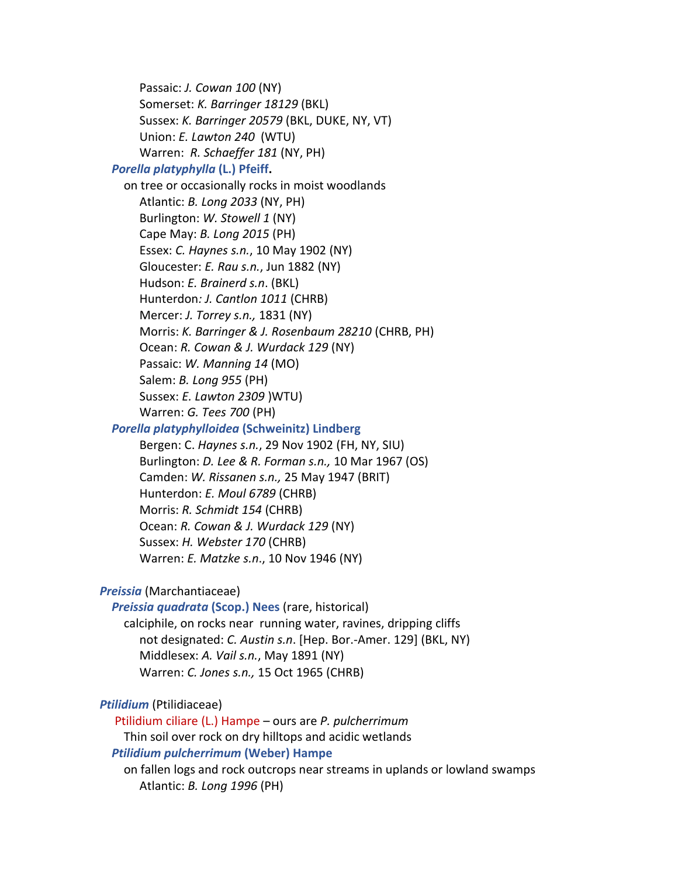Passaic: *J. Cowan 100* (NY) Somerset: *K. Barringer 18129* (BKL) Sussex: *K. Barringer 20579* (BKL, DUKE, NY, VT) Union: *E. Lawton 240* (WTU) Warren: *R. Schaeffer 181* (NY, PH)

# *Porella platyphylla* **(L.) Pfeiff.**

on tree or occasionally rocks in moist woodlands Atlantic: *B. Long 2033* (NY, PH) Burlington: *W. Stowell 1* (NY) Cape May: *B. Long 2015* (PH) Essex: *C. Haynes s.n.*, 10 May 1902 (NY) Gloucester: *E. Rau s.n.*, Jun 1882 (NY) Hudson: *E. Brainerd s.n*. (BKL) Hunterdon*: J. Cantlon 1011* (CHRB) Mercer: *J. Torrey s.n.,* 1831 (NY) Morris: *K. Barringer & J. Rosenbaum 28210* (CHRB, PH) Ocean: *R. Cowan & J. Wurdack 129* (NY) Passaic: *W. Manning 14* (MO) Salem: *B. Long 955* (PH) Sussex: *E. Lawton 2309* )WTU) Warren: *G. Tees 700* (PH)

# *Porella platyphylloidea* **(Schweinitz) Lindberg**

Bergen: C. *Haynes s.n.*, 29 Nov 1902 (FH, NY, SIU) Burlington: *D. Lee & R. Forman s.n.,* 10 Mar 1967 (OS) Camden: *W. Rissanen s.n.,* 25 May 1947 (BRIT) Hunterdon: *E. Moul 6789* (CHRB) Morris: *R. Schmidt 154* (CHRB) Ocean: *R. Cowan & J. Wurdack 129* (NY) Sussex: *H. Webster 170* (CHRB) Warren: *E. Matzke s.n*., 10 Nov 1946 (NY)

# *Preissia* (Marchantiaceae)

*Preissia quadrata* **(Scop.) Nees** (rare, historical)

calciphile, on rocks near running water, ravines, dripping cliffs not designated: *C. Austin s.n*. [Hep. Bor.-Amer. 129] (BKL, NY) Middlesex: *A. Vail s.n.*, May 1891 (NY) Warren: *C. Jones s.n.,* 15 Oct 1965 (CHRB)

#### *Ptilidium* (Ptilidiaceae)

 Ptilidium ciliare (L.) Hampe – ours are *P. pulcherrimum* Thin soil over rock on dry hilltops and acidic wetlands *Ptilidium pulcherrimum* **(Weber) Hampe**

# on fallen logs and rock outcrops near streams in uplands or lowland swamps Atlantic: *B. Long 1996* (PH)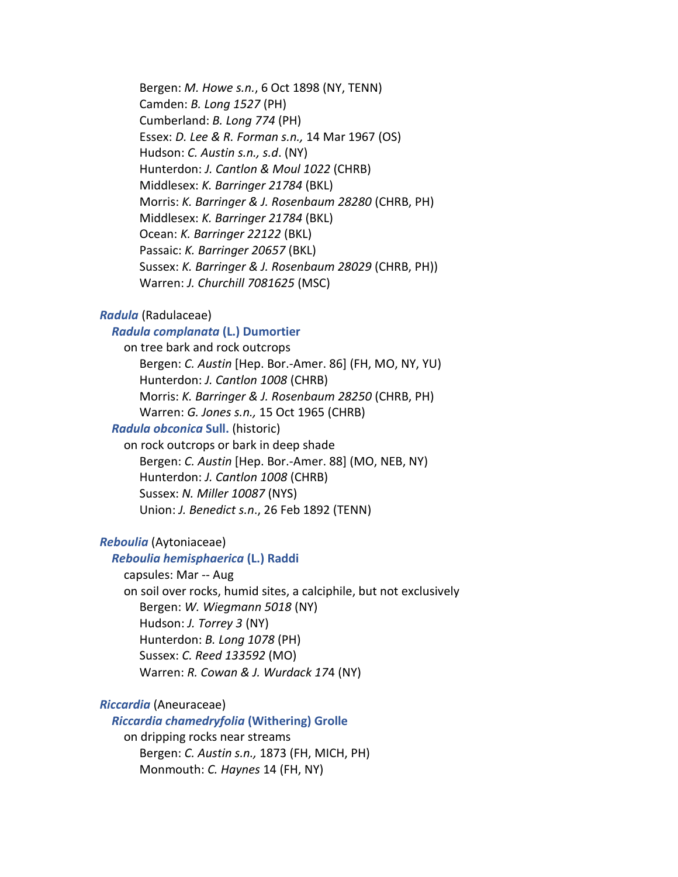Bergen: *M. Howe s.n.*, 6 Oct 1898 (NY, TENN) Camden: *B. Long 1527* (PH) Cumberland: *B. Long 774* (PH) Essex: *D. Lee & R. Forman s.n.,* 14 Mar 1967 (OS) Hudson: *C. Austin s.n., s.d*. (NY) Hunterdon: *J. Cantlon & Moul 1022* (CHRB) Middlesex: *K. Barringer 21784* (BKL) Morris: *K. Barringer & J. Rosenbaum 28280* (CHRB, PH) Middlesex: *K. Barringer 21784* (BKL) Ocean: *K. Barringer 22122* (BKL) Passaic: *K. Barringer 20657* (BKL) Sussex: *K. Barringer & J. Rosenbaum 28029* (CHRB, PH)) Warren: *J. Churchill 7081625* (MSC)

#### *Radula* (Radulaceae)

#### *Radula complanata* **(L.) Dumortier**

on tree bark and rock outcrops Bergen: *C. Austin* [Hep. Bor.-Amer. 86] (FH, MO, NY, YU) Hunterdon: *J. Cantlon 1008* (CHRB) Morris: *K. Barringer & J. Rosenbaum 28250* (CHRB, PH) Warren: *G. Jones s.n.,* 15 Oct 1965 (CHRB)

#### *Radula obconica* **Sull.** (historic)

on rock outcrops or bark in deep shade Bergen: *C. Austin* [Hep. Bor.-Amer. 88] (MO, NEB, NY) Hunterdon: *J. Cantlon 1008* (CHRB) Sussex: *N. Miller 10087* (NYS) Union: *J. Benedict s.n*., 26 Feb 1892 (TENN)

# *Reboulia* (Aytoniaceae)

#### *Reboulia hemisphaerica* **(L.) Raddi**

capsules: Mar -- Aug

on soil over rocks, humid sites, a calciphile, but not exclusively Bergen: *W. Wiegmann 5018* (NY) Hudson: *J. Torrey 3* (NY) Hunterdon: *B. Long 1078* (PH) Sussex: *C. Reed 133592* (MO) Warren: *R. Cowan & J. Wurdack 17*4 (NY)

#### *Riccardia* (Aneuraceae)

#### *Riccardia chamedryfolia* **(Withering) Grolle**

on dripping rocks near streams Bergen: *C. Austin s.n.,* 1873 (FH, MICH, PH) Monmouth: *C. Haynes* 14 (FH, NY)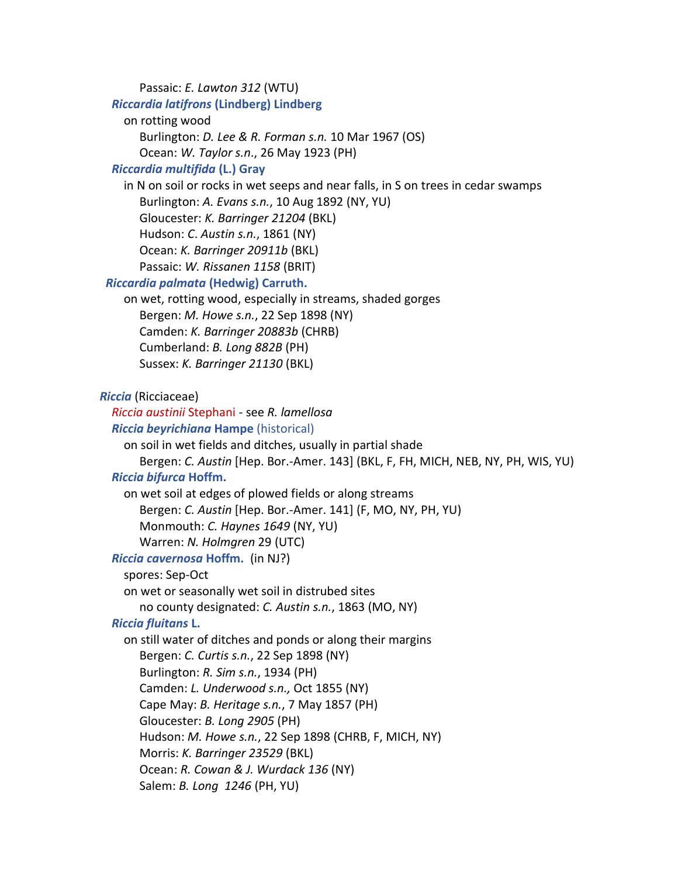Passaic: *E. Lawton 312* (WTU) *Riccardia latifrons* **(Lindberg) Lindberg** on rotting wood Burlington: *D. Lee & R. Forman s.n.* 10 Mar 1967 (OS) Ocean: *W. Taylor s.n*., 26 May 1923 (PH) *Riccardia multifida* **(L.) Gray** in N on soil or rocks in wet seeps and near falls, in S on trees in cedar swamps Burlington: *A. Evans s.n.*, 10 Aug 1892 (NY, YU) Gloucester: *K. Barringer 21204* (BKL) Hudson: *C*. *Austin s.n.*, 1861 (NY) Ocean: *K. Barringer 20911b* (BKL) Passaic: *W. Rissanen 1158* (BRIT)  *Riccardia palmata* **(Hedwig) Carruth.** on wet, rotting wood, especially in streams, shaded gorges Bergen: *M. Howe s.n.*, 22 Sep 1898 (NY) Camden: *K. Barringer 20883b* (CHRB) Cumberland: *B. Long 882B* (PH) Sussex: *K. Barringer 21130* (BKL) *Riccia* (Ricciaceae) *Riccia austinii* Stephani - see *R. lamellosa Riccia beyrichiana* **Hampe** (historical) on soil in wet fields and ditches, usually in partial shade Bergen: *C. Austin* [Hep. Bor.-Amer. 143] (BKL, F, FH, MICH, NEB, NY, PH, WIS, YU) *Riccia bifurca* **Hoffm.** on wet soil at edges of plowed fields or along streams Bergen: *C. Austin* [Hep. Bor.-Amer. 141] (F, MO, NY, PH, YU) Monmouth: *C. Haynes 1649* (NY, YU) Warren: *N. Holmgren* 29 (UTC) *Riccia cavernosa* **Hoffm.** (in NJ?) spores: Sep-Oct on wet or seasonally wet soil in distrubed sites no county designated: *C. Austin s.n.*, 1863 (MO, NY) *Riccia fluitans* **L.** on still water of ditches and ponds or along their margins Bergen: *C. Curtis s.n.*, 22 Sep 1898 (NY) Burlington: *R. Sim s.n.*, 1934 (PH) Camden: *L. Underwood s.n.,* Oct 1855 (NY) Cape May: *B. Heritage s.n.*, 7 May 1857 (PH) Gloucester: *B. Long 2905* (PH) Hudson: *M. Howe s.n.*, 22 Sep 1898 (CHRB, F, MICH, NY) Morris: *K. Barringer 23529* (BKL) Ocean: *R. Cowan & J. Wurdack 136* (NY) Salem: *B. Long 1246* (PH, YU)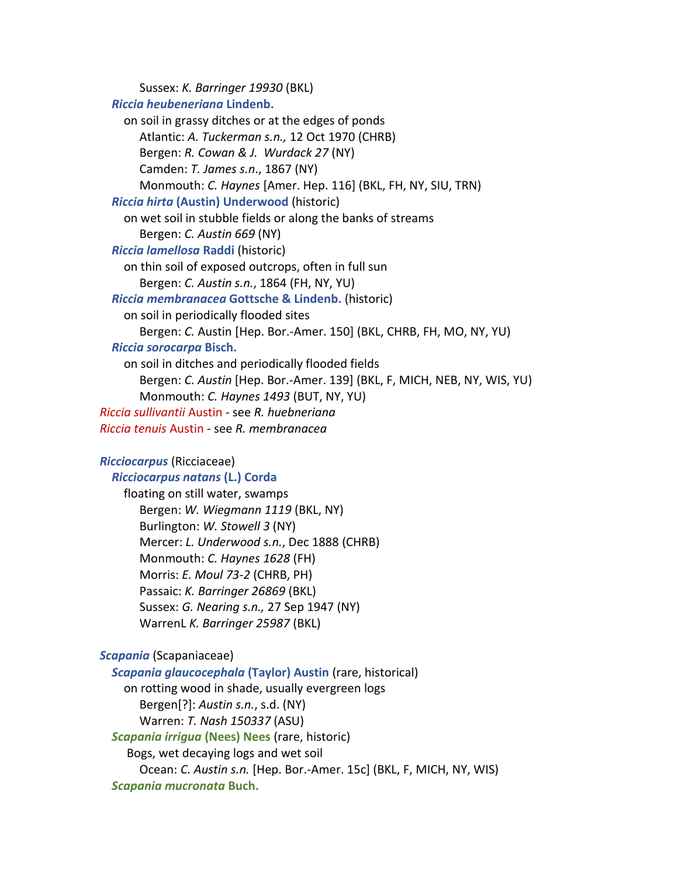Sussex: *K. Barringer 19930* (BKL) *Riccia heubeneriana* **Lindenb.** on soil in grassy ditches or at the edges of ponds Atlantic: *A. Tuckerman s.n.,* 12 Oct 1970 (CHRB) Bergen: *R. Cowan & J. Wurdack 27* (NY) Camden: *T. James s.n*., 1867 (NY) Monmouth: *C. Haynes* [Amer. Hep. 116] (BKL, FH, NY, SIU, TRN) *Riccia hirta* **(Austin) Underwood** (historic) on wet soil in stubble fields or along the banks of streams Bergen: *C. Austin 669* (NY) *Riccia lamellosa* **Raddi** (historic) on thin soil of exposed outcrops, often in full sun Bergen: *C. Austin s.n.*, 1864 (FH, NY, YU) *Riccia membranacea* **Gottsche & Lindenb.** (historic) on soil in periodically flooded sites Bergen: *C.* Austin [Hep. Bor.-Amer. 150] (BKL, CHRB, FH, MO, NY, YU) *Riccia sorocarpa* **Bisch.** on soil in ditches and periodically flooded fields Bergen: *C. Austin* [Hep. Bor.-Amer. 139] (BKL, F, MICH, NEB, NY, WIS, YU) Monmouth: *C. Haynes 1493* (BUT, NY, YU) *Riccia sullivantii* Austin - see *R. huebneriana Riccia tenuis* Austin - see *R. membranacea Ricciocarpus* (Ricciaceae) *Ricciocarpus natans* **(L.) Corda**  floating on still water, swamps Bergen: *W. Wiegmann 1119* (BKL, NY) Burlington: *W. Stowell 3* (NY) Mercer: *L. Underwood s.n.*, Dec 1888 (CHRB) Monmouth: *C. Haynes 1628* (FH) Morris: *E. Moul 73-2* (CHRB, PH) Passaic: *K. Barringer 26869* (BKL) Sussex: *G. Nearing s.n.,* 27 Sep 1947 (NY) WarrenL *K. Barringer 25987* (BKL) *Scapania* (Scapaniaceae) *Scapania glaucocephala* **(Taylor) Austin** (rare, historical) on rotting wood in shade, usually evergreen logs Bergen[?]: *Austin s.n.*, s.d. (NY) Warren: *T. Nash 150337* (ASU) *Scapania irrigua* **(Nees) Nees** (rare, historic) Bogs, wet decaying logs and wet soil Ocean: *C. Austin s.n.* [Hep. Bor.-Amer. 15c] (BKL, F, MICH, NY, WIS)

*Scapania mucronata* **Buch.**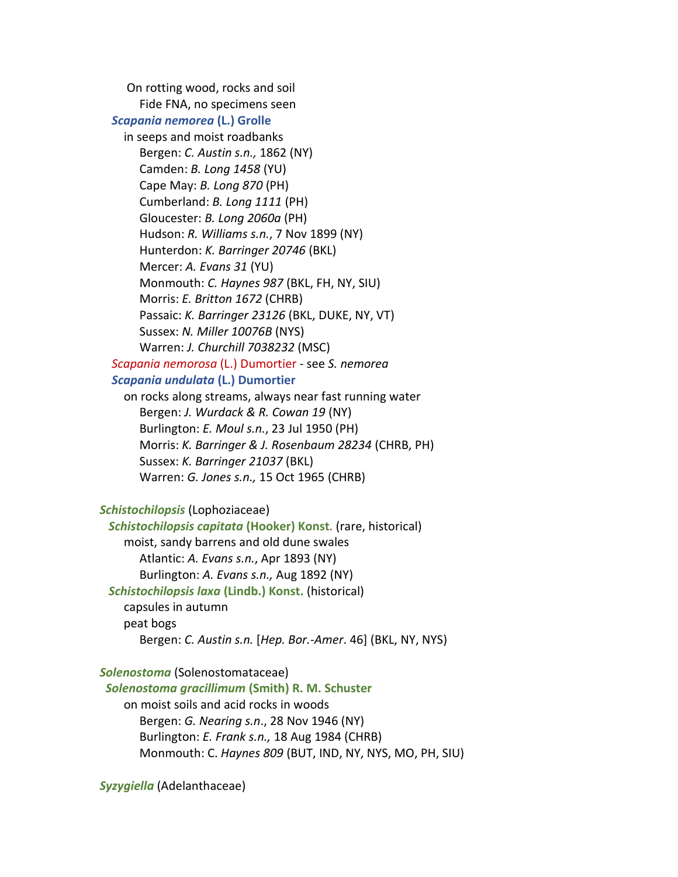On rotting wood, rocks and soil Fide FNA, no specimens seen *Scapania nemorea* **(L.) Grolle** in seeps and moist roadbanks Bergen: *C. Austin s.n.,* 1862 (NY) Camden: *B. Long 1458* (YU) Cape May: *B. Long 870* (PH) Cumberland: *B. Long 1111* (PH) Gloucester: *B. Long 2060a* (PH) Hudson: *R. Williams s.n.*, 7 Nov 1899 (NY) Hunterdon: *K. Barringer 20746* (BKL) Mercer: *A. Evans 31* (YU) Monmouth: *C. Haynes 987* (BKL, FH, NY, SIU) Morris: *E. Britton 1672* (CHRB) Passaic: *K. Barringer 23126* (BKL, DUKE, NY, VT) Sussex: *N. Miller 10076B* (NYS) Warren: *J. Churchill 7038232* (MSC) *Scapania nemorosa* (L.) Dumortier - see *S. nemorea Scapania undulata* **(L.) Dumortier** on rocks along streams, always near fast running water Bergen: *J. Wurdack & R. Cowan 19* (NY) Burlington: *E. Moul s.n.*, 23 Jul 1950 (PH) Morris: *K. Barringer & J. Rosenbaum 28234* (CHRB, PH) Sussex: *K. Barringer 21037* (BKL) Warren: *G. Jones s.n.,* 15 Oct 1965 (CHRB) *Schistochilopsis* (Lophoziaceae) *Schistochilopsis capitata* **(Hooker) Konst**. (rare, historical) moist, sandy barrens and old dune swales Atlantic: *A. Evans s.n.*, Apr 1893 (NY) Burlington: *A. Evans s.n.,* Aug 1892 (NY) *Schistochilopsis laxa* **(Lindb.) Konst.** (historical) capsules in autumn peat bogs Bergen: *C. Austin s.n.* [*Hep. Bor.-Amer*. 46] (BKL, NY, NYS) *Solenostoma* (Solenostomataceae) *Solenostoma gracillimum* **(Smith) R. M. Schuster** on moist soils and acid rocks in woods Bergen: *G. Nearing s.n*., 28 Nov 1946 (NY) Burlington: *E. Frank s.n.,* 18 Aug 1984 (CHRB) Monmouth: C. *Haynes 809* (BUT, IND, NY, NYS, MO, PH, SIU)

*Syzygiella* (Adelanthaceae)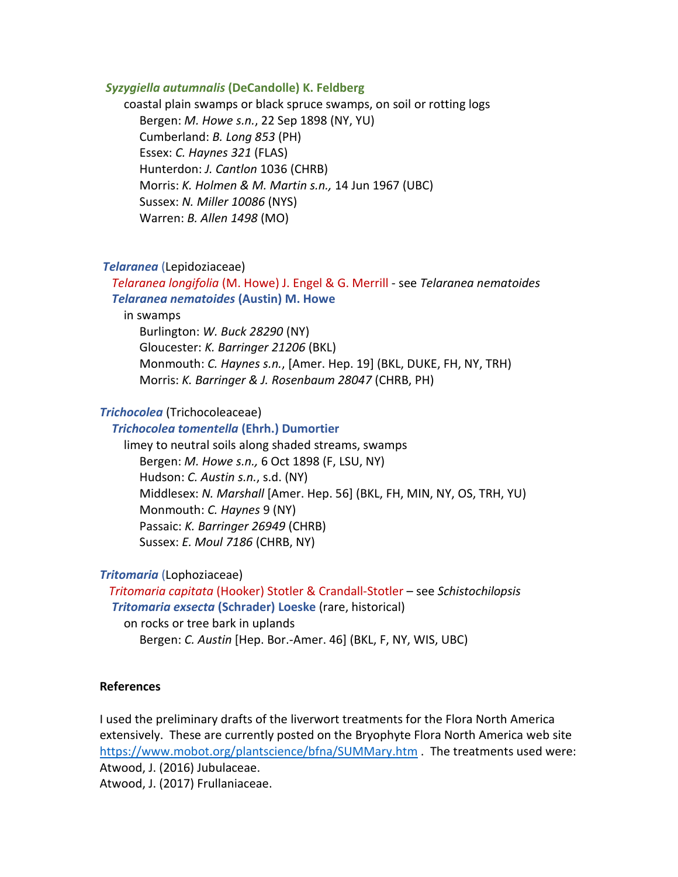#### *Syzygiella autumnalis* **(DeCandolle) K. Feldberg**

coastal plain swamps or black spruce swamps, on soil or rotting logs Bergen: *M. Howe s.n.*, 22 Sep 1898 (NY, YU) Cumberland: *B. Long 853* (PH) Essex: *C. Haynes 321* (FLAS) Hunterdon: *J. Cantlon* 1036 (CHRB) Morris: *K. Holmen & M. Martin s.n.,* 14 Jun 1967 (UBC) Sussex: *N. Miller 10086* (NYS) Warren: *B. Allen 1498* (MO)

#### *Telaranea* (Lepidoziaceae)

 *Telaranea longifolia* (M. Howe) J. Engel & G. Merrill - see *Telaranea nematoides Telaranea nematoides* **(Austin) M. Howe**

in swamps

Burlington: *W. Buck 28290* (NY)

Gloucester: *K. Barringer 21206* (BKL)

Monmouth: *C. Haynes s.n.*, [Amer. Hep. 19] (BKL, DUKE, FH, NY, TRH) Morris: *K. Barringer & J. Rosenbaum 28047* (CHRB, PH)

#### *Trichocolea* (Trichocoleaceae)

#### *Trichocolea tomentella* **(Ehrh.) Dumortier**

limey to neutral soils along shaded streams, swamps Bergen: *M. Howe s.n.,* 6 Oct 1898 (F, LSU, NY) Hudson: *C. Austin s.n.*, s.d. (NY) Middlesex: *N. Marshall* [Amer. Hep. 56] (BKL, FH, MIN, NY, OS, TRH, YU) Monmouth: *C. Haynes* 9 (NY) Passaic: *K. Barringer 26949* (CHRB) Sussex: *E. Moul 7186* (CHRB, NY)

# *Tritomaria* (Lophoziaceae)

 *Tritomaria capitata* (Hooker) Stotler & Crandall-Stotler – see *Schistochilopsis Tritomaria exsecta* **(Schrader) Loeske** (rare, historical)

on rocks or tree bark in uplands

Bergen: *C. Austin* [Hep. Bor.-Amer. 46] (BKL, F, NY, WIS, UBC)

#### **References**

I used the preliminary drafts of the liverwort treatments for the Flora North America extensively. These are currently posted on the Bryophyte Flora North America web site <https://www.mobot.org/plantscience/bfna/SUMMary.htm> . The treatments used were: Atwood, J. (2016) Jubulaceae.

Atwood, J. (2017) Frullaniaceae.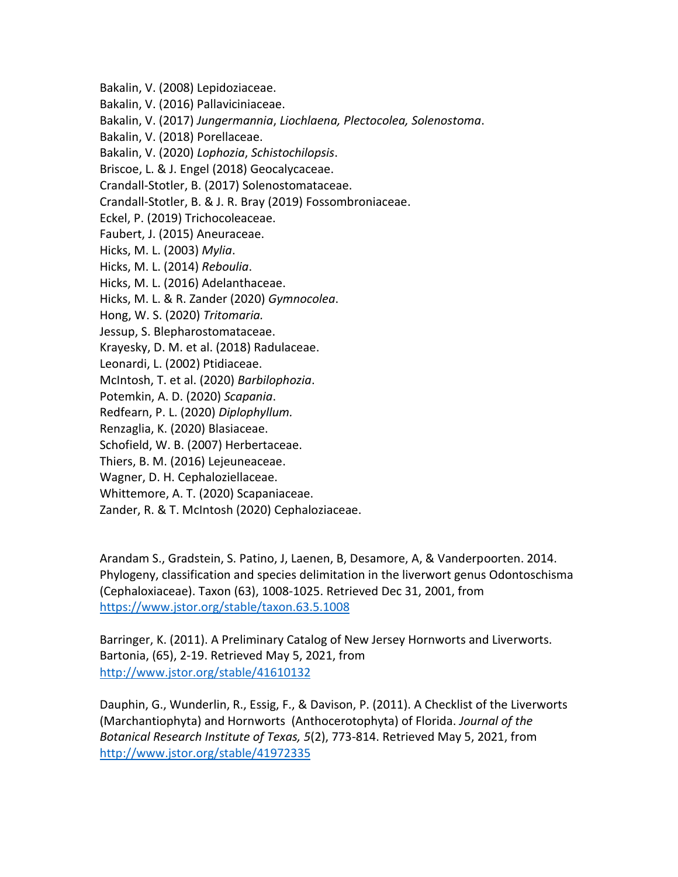Bakalin, V. (2008) Lepidoziaceae.

Bakalin, V. (2016) Pallaviciniaceae.

Bakalin, V. (2017) *Jungermannia*, *Liochlaena, Plectocolea, Solenostoma*.

Bakalin, V. (2018) Porellaceae.

Bakalin, V. (2020) *Lophozia*, *Schistochilopsis*.

Briscoe, L. & J. Engel (2018) Geocalycaceae.

Crandall-Stotler, B. (2017) Solenostomataceae.

Crandall-Stotler, B. & J. R. Bray (2019) Fossombroniaceae.

Eckel, P. (2019) Trichocoleaceae.

Faubert, J. (2015) Aneuraceae.

Hicks, M. L. (2003) *Mylia*.

Hicks, M. L. (2014) *Reboulia*.

Hicks, M. L. (2016) Adelanthaceae.

Hicks, M. L. & R. Zander (2020) *Gymnocolea*.

Hong, W. S. (2020) *Tritomaria.*

Jessup, S. Blepharostomataceae.

Krayesky, D. M. et al. (2018) Radulaceae.

Leonardi, L. (2002) Ptidiaceae.

McIntosh, T. et al. (2020) *Barbilophozia*.

Potemkin, A. D. (2020) *Scapania*.

Redfearn, P. L. (2020) *Diplophyllum.*

Renzaglia, K. (2020) Blasiaceae.

Schofield, W. B. (2007) Herbertaceae.

Thiers, B. M. (2016) Lejeuneaceae.

Wagner, D. H. Cephaloziellaceae.

Whittemore, A. T. (2020) Scapaniaceae.

Zander, R. & T. McIntosh (2020) Cephaloziaceae.

Arandam S., Gradstein, S. Patino, J, Laenen, B, Desamore, A, & Vanderpoorten. 2014. Phylogeny, classification and species delimitation in the liverwort genus Odontoschisma (Cephaloxiaceae). Taxon (63), 1008-1025. Retrieved Dec 31, 2001, from <https://www.jstor.org/stable/taxon.63.5.1008>

Barringer, K. (2011). A Preliminary Catalog of New Jersey Hornworts and Liverworts. Bartonia, (65), 2-19. Retrieved May 5, 2021, from <http://www.jstor.org/stable/41610132>

Dauphin, G., Wunderlin, R., Essig, F., & Davison, P. (2011). A Checklist of the Liverworts (Marchantiophyta) and Hornworts (Anthocerotophyta) of Florida. *Journal of the Botanical Research Institute of Texas, 5*(2), 773-814. Retrieved May 5, 2021, from <http://www.jstor.org/stable/41972335>